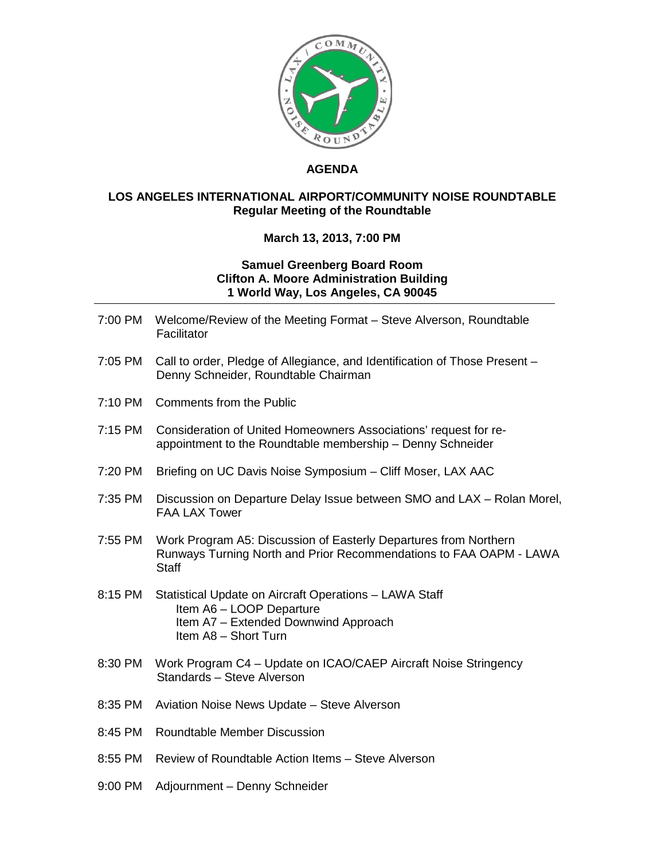

## **AGENDA**

## **LOS ANGELES INTERNATIONAL AIRPORT/COMMUNITY NOISE ROUNDTABLE Regular Meeting of the Roundtable**

## **March 13, 2013, 7:00 PM**

## **Samuel Greenberg Board Room Clifton A. Moore Administration Building 1 World Way, Los Angeles, CA 90045**

- 7:00 PM Welcome/Review of the Meeting Format Steve Alverson, Roundtable **Facilitator**
- 7:05 PM Call to order, Pledge of Allegiance, and Identification of Those Present Denny Schneider, Roundtable Chairman
- 7:10 PM Comments from the Public
- 7:15 PM Consideration of United Homeowners Associations' request for reappointment to the Roundtable membership – Denny Schneider
- 7:20 PM Briefing on UC Davis Noise Symposium Cliff Moser, LAX AAC
- 7:35 PM Discussion on Departure Delay Issue between SMO and LAX Rolan Morel, FAA LAX Tower
- 7:55 PM Work Program A5: Discussion of Easterly Departures from Northern Runways Turning North and Prior Recommendations to FAA OAPM - LAWA **Staff**
- 8:15 PM Statistical Update on Aircraft Operations LAWA Staff Item A6 – LOOP Departure Item A7 – Extended Downwind Approach Item A8 – Short Turn
- 8:30 PM Work Program C4 Update on ICAO/CAEP Aircraft Noise Stringency Standards – Steve Alverson
- 8:35 PM Aviation Noise News Update Steve Alverson
- 8:45 PM Roundtable Member Discussion
- 8:55 PM Review of Roundtable Action Items Steve Alverson
- 9:00 PM Adjournment Denny Schneider